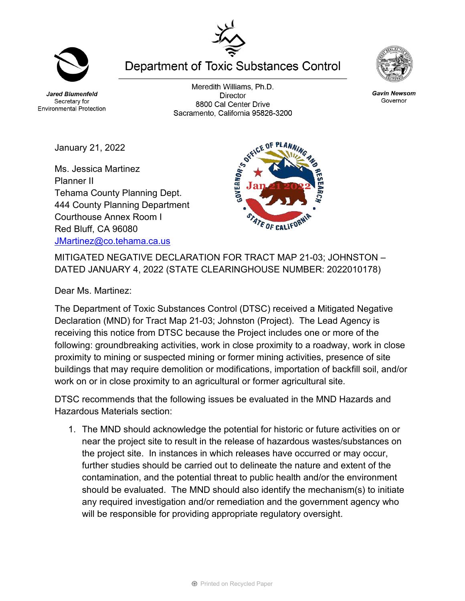**Jared Blumenfeld** Secretary for

Planner II

January 21, 2022

Ms. Jessica Martinez

Tehama County Planning Dept.

Meredith Williams, Ph.D. **Director** 8800 Cal Center Drive Sacramento, California 95826-3200

**Department of Toxic Substances Control** 

**GOVERINOR'S OXYCLE** 444 County Planning Department STATE OF CALIFOR Courthouse Annex Room I Red Bluff, CA 96080 [JMartinez@co.tehama.ca.us](mailto:JMartinez@co.tehama.ca.us)

MITIGATED NEGATIVE DECLARATION FOR TRACT MAP 21-03; JOHNSTON – DATED JANUARY 4, 2022 (STATE CLEARINGHOUSE NUMBER: 2022010178)

Dear Ms. Martinez:

The Department of Toxic Substances Control (DTSC) received a Mitigated Negative Declaration (MND) for Tract Map 21-03; Johnston (Project). The Lead Agency is receiving this notice from DTSC because the Project includes one or more of the following: groundbreaking activities, work in close proximity to a roadway, work in close proximity to mining or suspected mining or former mining activities, presence of site buildings that may require demolition or modifications, importation of backfill soil, and/or work on or in close proximity to an agricultural or former agricultural site.

DTSC recommends that the following issues be evaluated in the MND Hazards and Hazardous Materials section:

1. The MND should acknowledge the potential for historic or future activities on or near the project site to result in the release of hazardous wastes/substances on the project site. In instances in which releases have occurred or may occur, further studies should be carried out to delineate the nature and extent of the contamination, and the potential threat to public health and/or the environment should be evaluated. The MND should also identify the mechanism(s) to initiate any required investigation and/or remediation and the government agency who will be responsible for providing appropriate regulatory oversight.







**Environmental Protection**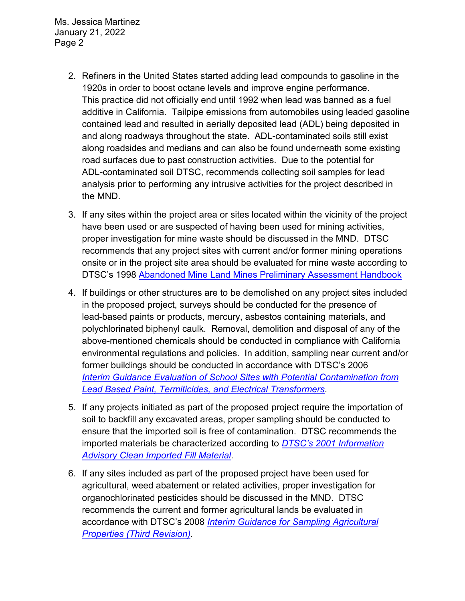Ms. Jessica Martinez January 21, 2022 Page 2

- 2. Refiners in the United States started adding lead compounds to gasoline in the 1920s in order to boost octane levels and improve engine performance. This practice did not officially end until 1992 when lead was banned as a fuel additive in California. Tailpipe emissions from automobiles using leaded gasoline contained lead and resulted in aerially deposited lead (ADL) being deposited in and along roadways throughout the state. ADL-contaminated soils still exist along roadsides and medians and can also be found underneath some existing road surfaces due to past construction activities. Due to the potential for ADL-contaminated soil DTSC, recommends collecting soil samples for lead analysis prior to performing any intrusive activities for the project described in the MND.
- 3. If any sites within the project area or sites located within the vicinity of the project have been used or are suspected of having been used for mining activities, proper investigation for mine waste should be discussed in the MND. DTSC recommends that any project sites with current and/or former mining operations onsite or in the project site area should be evaluated for mine waste according to DTSC's 1998 Abandoned Mine Land Mines Preliminary Assessment Handbook
- 4. If buildings or other structures are to be demolished on any project sites included in the proposed project, surveys should be conducted for the presence of lead-based paints or products, mercury, asbestos containing materials, and polychlorinated biphenyl caulk. Removal, demolition and disposal of any of the above-mentioned chemicals should be conducted in compliance with California environmental regulations and policies. In addition, sampling near current and/or former buildings should be conducted in accordance with DTSC's 2006 *Interim [Guidance Evaluation of School Sites with Potential Contamination from](https://dtsc.ca.gov/2020/04/17/document-request/?wpf337186_14=https://dtsc.ca.gov/wpcontent/uploads/sites/31/2018/09/Guidance_Lead_%20%20Contamination_050118.pdf)  [Lead Based Paint, Termiticides, and Electrical Transformers](https://dtsc.ca.gov/2020/04/17/document-request/?wpf337186_14=https://dtsc.ca.gov/wpcontent/uploads/sites/31/2018/09/Guidance_Lead_%20%20Contamination_050118.pdf)*.
- 5. If any projects initiated as part of the proposed project require the importation of soil to backfill any excavated areas, proper sampling should be conducted to ensure that the imported soil is free of contamination. DTSC recommends the imported materials be characterized according to *[DTSC's 2001 Information](https://dtsc.ca.gov/wp-content/uploads/sites/31/2018/09/SMP_FS_Cleanfill-Schools.pdf)  [Advisory Clean Imported Fill Material](https://dtsc.ca.gov/wp-content/uploads/sites/31/2018/09/SMP_FS_Cleanfill-Schools.pdf)*.
- 6. If any sites included as part of the proposed project have been used for agricultural, weed abatement or related activities, proper investigation for organochlorinated pesticides should be discussed in the MND. DTSC recommends the current and former agricultural lands be evaluated in accordance with DTSC's 2008 *[Interim Guidance for Sampling Agricultural](https://dtsc.ca.gov/wp-content/uploads/sites/31/2018/09/Ag-Guidance-Rev-3-August-7-2008-2.pdf)  [Properties \(Third Revision\).](https://dtsc.ca.gov/wp-content/uploads/sites/31/2018/09/Ag-Guidance-Rev-3-August-7-2008-2.pdf)*